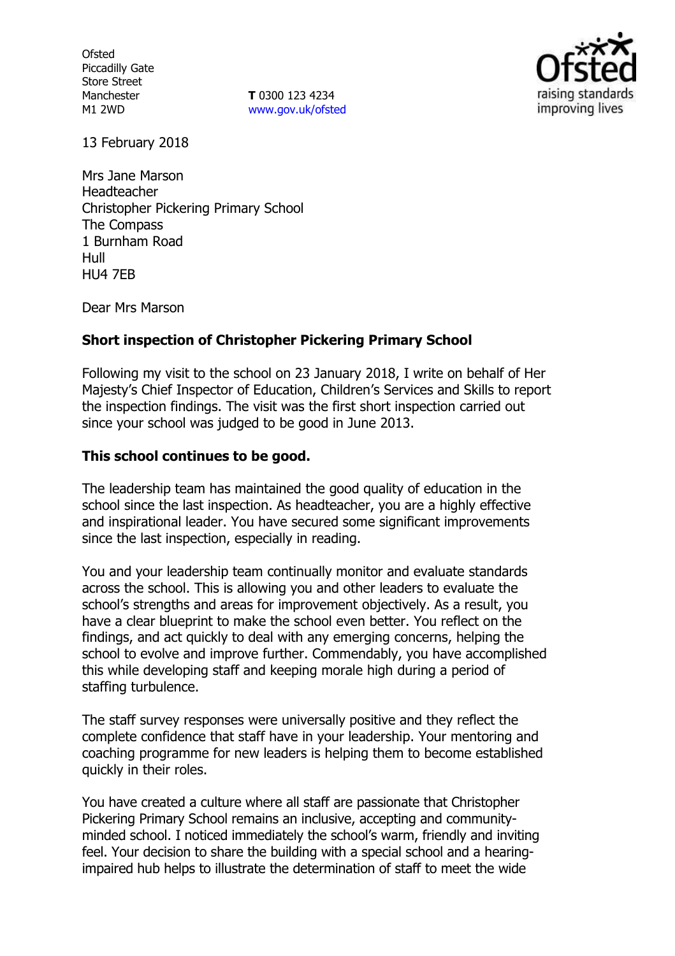**Ofsted** Piccadilly Gate Store Street Manchester M1 2WD

**T** 0300 123 4234 www.gov.uk/ofsted



13 February 2018

Mrs Jane Marson Headteacher Christopher Pickering Primary School The Compass 1 Burnham Road Hull HU4 7EB

Dear Mrs Marson

## **Short inspection of Christopher Pickering Primary School**

Following my visit to the school on 23 January 2018, I write on behalf of Her Majesty's Chief Inspector of Education, Children's Services and Skills to report the inspection findings. The visit was the first short inspection carried out since your school was judged to be good in June 2013.

## **This school continues to be good.**

The leadership team has maintained the good quality of education in the school since the last inspection. As headteacher, you are a highly effective and inspirational leader. You have secured some significant improvements since the last inspection, especially in reading.

You and your leadership team continually monitor and evaluate standards across the school. This is allowing you and other leaders to evaluate the school's strengths and areas for improvement objectively. As a result, you have a clear blueprint to make the school even better. You reflect on the findings, and act quickly to deal with any emerging concerns, helping the school to evolve and improve further. Commendably, you have accomplished this while developing staff and keeping morale high during a period of staffing turbulence.

The staff survey responses were universally positive and they reflect the complete confidence that staff have in your leadership. Your mentoring and coaching programme for new leaders is helping them to become established quickly in their roles.

You have created a culture where all staff are passionate that Christopher Pickering Primary School remains an inclusive, accepting and communityminded school. I noticed immediately the school's warm, friendly and inviting feel. Your decision to share the building with a special school and a hearingimpaired hub helps to illustrate the determination of staff to meet the wide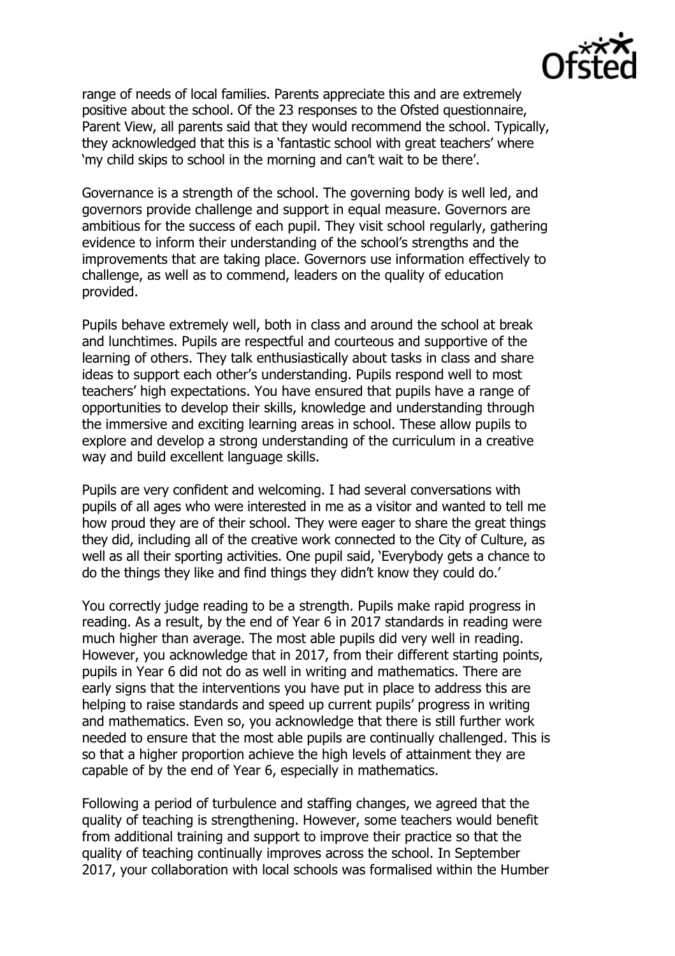

range of needs of local families. Parents appreciate this and are extremely positive about the school. Of the 23 responses to the Ofsted questionnaire, Parent View, all parents said that they would recommend the school. Typically, they acknowledged that this is a 'fantastic school with great teachers' where 'my child skips to school in the morning and can't wait to be there'.

Governance is a strength of the school. The governing body is well led, and governors provide challenge and support in equal measure. Governors are ambitious for the success of each pupil. They visit school regularly, gathering evidence to inform their understanding of the school's strengths and the improvements that are taking place. Governors use information effectively to challenge, as well as to commend, leaders on the quality of education provided.

Pupils behave extremely well, both in class and around the school at break and lunchtimes. Pupils are respectful and courteous and supportive of the learning of others. They talk enthusiastically about tasks in class and share ideas to support each other's understanding. Pupils respond well to most teachers' high expectations. You have ensured that pupils have a range of opportunities to develop their skills, knowledge and understanding through the immersive and exciting learning areas in school. These allow pupils to explore and develop a strong understanding of the curriculum in a creative way and build excellent language skills.

Pupils are very confident and welcoming. I had several conversations with pupils of all ages who were interested in me as a visitor and wanted to tell me how proud they are of their school. They were eager to share the great things they did, including all of the creative work connected to the City of Culture, as well as all their sporting activities. One pupil said, 'Everybody gets a chance to do the things they like and find things they didn't know they could do.'

You correctly judge reading to be a strength. Pupils make rapid progress in reading. As a result, by the end of Year 6 in 2017 standards in reading were much higher than average. The most able pupils did very well in reading. However, you acknowledge that in 2017, from their different starting points, pupils in Year 6 did not do as well in writing and mathematics. There are early signs that the interventions you have put in place to address this are helping to raise standards and speed up current pupils' progress in writing and mathematics. Even so, you acknowledge that there is still further work needed to ensure that the most able pupils are continually challenged. This is so that a higher proportion achieve the high levels of attainment they are capable of by the end of Year 6, especially in mathematics.

Following a period of turbulence and staffing changes, we agreed that the quality of teaching is strengthening. However, some teachers would benefit from additional training and support to improve their practice so that the quality of teaching continually improves across the school. In September 2017, your collaboration with local schools was formalised within the Humber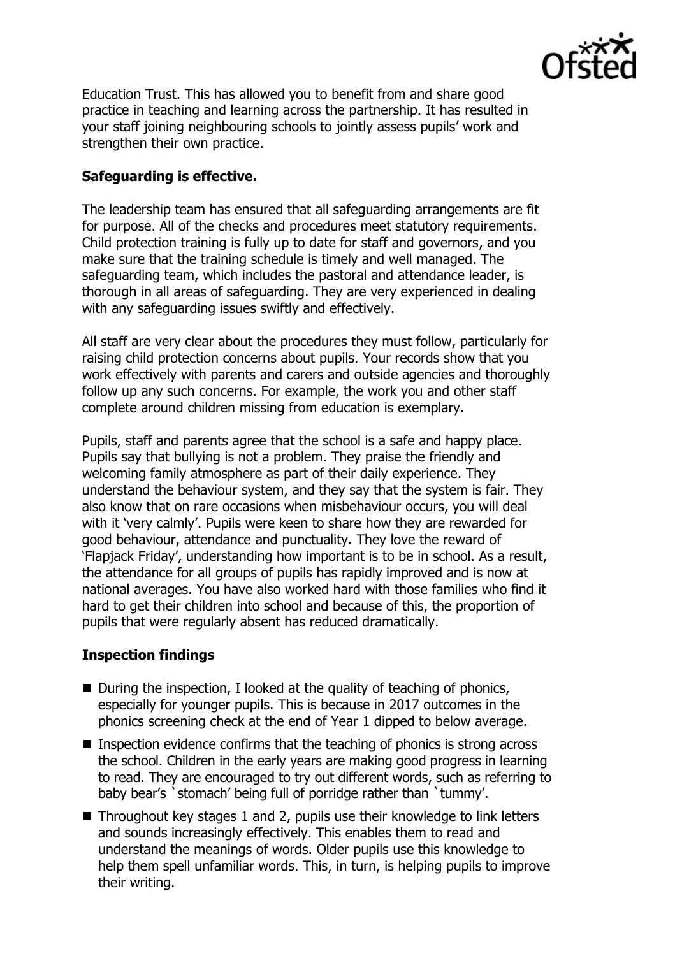

Education Trust. This has allowed you to benefit from and share good practice in teaching and learning across the partnership. It has resulted in your staff joining neighbouring schools to jointly assess pupils' work and strengthen their own practice.

# **Safeguarding is effective.**

The leadership team has ensured that all safeguarding arrangements are fit for purpose. All of the checks and procedures meet statutory requirements. Child protection training is fully up to date for staff and governors, and you make sure that the training schedule is timely and well managed. The safeguarding team, which includes the pastoral and attendance leader, is thorough in all areas of safeguarding. They are very experienced in dealing with any safeguarding issues swiftly and effectively.

All staff are very clear about the procedures they must follow, particularly for raising child protection concerns about pupils. Your records show that you work effectively with parents and carers and outside agencies and thoroughly follow up any such concerns. For example, the work you and other staff complete around children missing from education is exemplary.

Pupils, staff and parents agree that the school is a safe and happy place. Pupils say that bullying is not a problem. They praise the friendly and welcoming family atmosphere as part of their daily experience. They understand the behaviour system, and they say that the system is fair. They also know that on rare occasions when misbehaviour occurs, you will deal with it 'very calmly'. Pupils were keen to share how they are rewarded for good behaviour, attendance and punctuality. They love the reward of 'Flapjack Friday', understanding how important is to be in school. As a result, the attendance for all groups of pupils has rapidly improved and is now at national averages. You have also worked hard with those families who find it hard to get their children into school and because of this, the proportion of pupils that were regularly absent has reduced dramatically.

## **Inspection findings**

- $\blacksquare$  During the inspection, I looked at the quality of teaching of phonics, especially for younger pupils. This is because in 2017 outcomes in the phonics screening check at the end of Year 1 dipped to below average.
- $\blacksquare$  Inspection evidence confirms that the teaching of phonics is strong across the school. Children in the early years are making good progress in learning to read. They are encouraged to try out different words, such as referring to baby bear's `stomach' being full of porridge rather than `tummy'.
- Throughout key stages 1 and 2, pupils use their knowledge to link letters and sounds increasingly effectively. This enables them to read and understand the meanings of words. Older pupils use this knowledge to help them spell unfamiliar words. This, in turn, is helping pupils to improve their writing.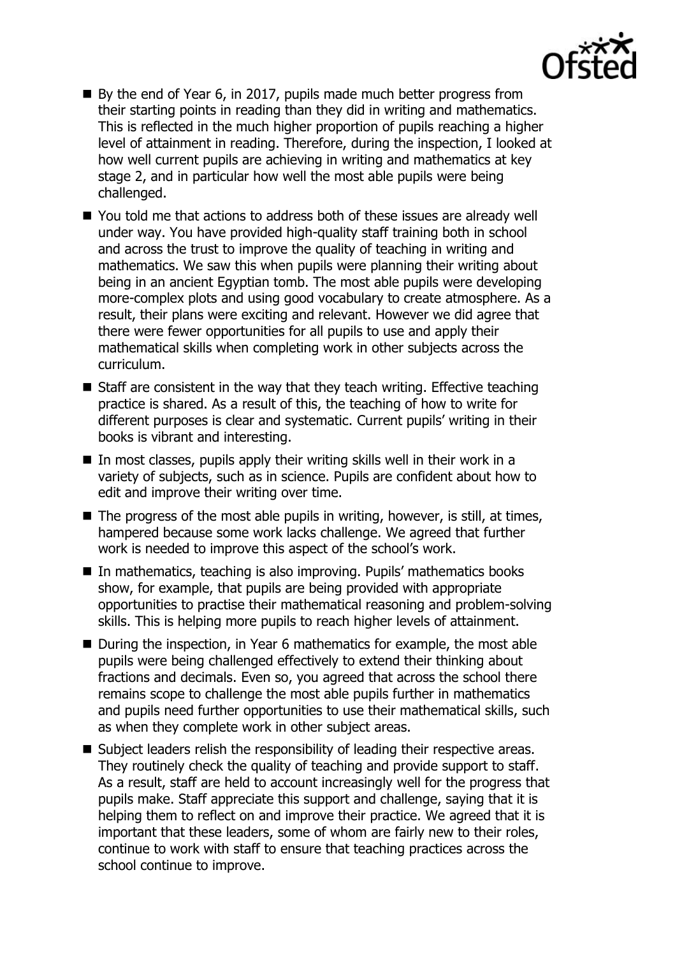

- By the end of Year 6, in 2017, pupils made much better progress from their starting points in reading than they did in writing and mathematics. This is reflected in the much higher proportion of pupils reaching a higher level of attainment in reading. Therefore, during the inspection, I looked at how well current pupils are achieving in writing and mathematics at key stage 2, and in particular how well the most able pupils were being challenged.
- You told me that actions to address both of these issues are already well under way. You have provided high-quality staff training both in school and across the trust to improve the quality of teaching in writing and mathematics. We saw this when pupils were planning their writing about being in an ancient Egyptian tomb. The most able pupils were developing more-complex plots and using good vocabulary to create atmosphere. As a result, their plans were exciting and relevant. However we did agree that there were fewer opportunities for all pupils to use and apply their mathematical skills when completing work in other subjects across the curriculum.
- Staff are consistent in the way that they teach writing. Effective teaching practice is shared. As a result of this, the teaching of how to write for different purposes is clear and systematic. Current pupils' writing in their books is vibrant and interesting.
- In most classes, pupils apply their writing skills well in their work in a variety of subjects, such as in science. Pupils are confident about how to edit and improve their writing over time.
- $\blacksquare$  The progress of the most able pupils in writing, however, is still, at times, hampered because some work lacks challenge. We agreed that further work is needed to improve this aspect of the school's work.
- In mathematics, teaching is also improving. Pupils' mathematics books show, for example, that pupils are being provided with appropriate opportunities to practise their mathematical reasoning and problem-solving skills. This is helping more pupils to reach higher levels of attainment.
- During the inspection, in Year 6 mathematics for example, the most able pupils were being challenged effectively to extend their thinking about fractions and decimals. Even so, you agreed that across the school there remains scope to challenge the most able pupils further in mathematics and pupils need further opportunities to use their mathematical skills, such as when they complete work in other subject areas.
- Subject leaders relish the responsibility of leading their respective areas. They routinely check the quality of teaching and provide support to staff. As a result, staff are held to account increasingly well for the progress that pupils make. Staff appreciate this support and challenge, saying that it is helping them to reflect on and improve their practice. We agreed that it is important that these leaders, some of whom are fairly new to their roles, continue to work with staff to ensure that teaching practices across the school continue to improve.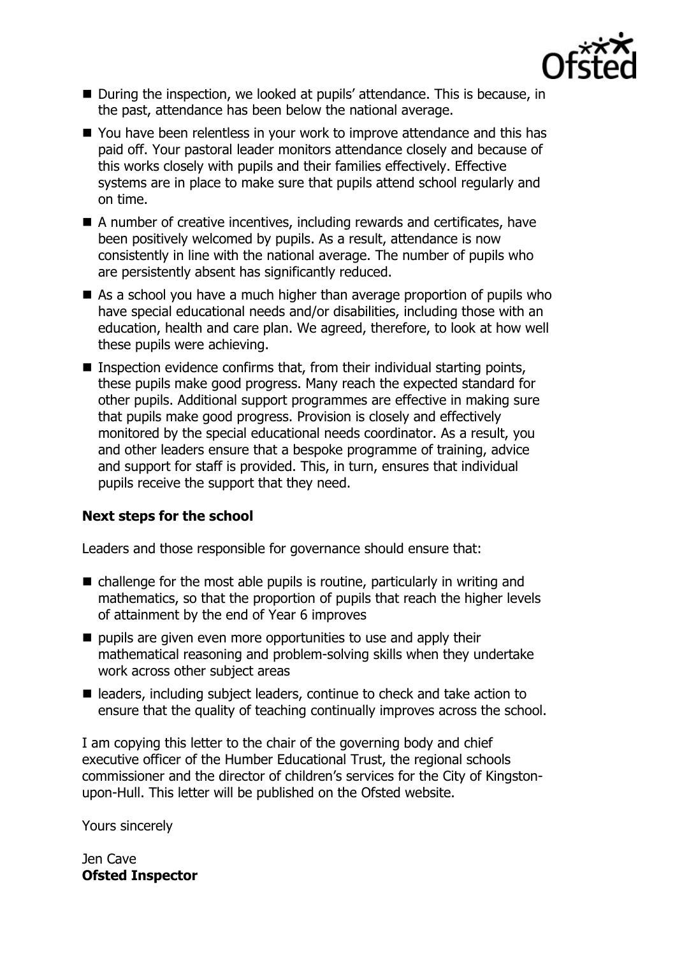

- During the inspection, we looked at pupils' attendance. This is because, in the past, attendance has been below the national average.
- You have been relentless in your work to improve attendance and this has paid off. Your pastoral leader monitors attendance closely and because of this works closely with pupils and their families effectively. Effective systems are in place to make sure that pupils attend school regularly and on time.
- A number of creative incentives, including rewards and certificates, have been positively welcomed by pupils. As a result, attendance is now consistently in line with the national average. The number of pupils who are persistently absent has significantly reduced.
- As a school you have a much higher than average proportion of pupils who have special educational needs and/or disabilities, including those with an education, health and care plan. We agreed, therefore, to look at how well these pupils were achieving.
- **Inspection evidence confirms that, from their individual starting points,** these pupils make good progress. Many reach the expected standard for other pupils. Additional support programmes are effective in making sure that pupils make good progress. Provision is closely and effectively monitored by the special educational needs coordinator. As a result, you and other leaders ensure that a bespoke programme of training, advice and support for staff is provided. This, in turn, ensures that individual pupils receive the support that they need.

## **Next steps for the school**

Leaders and those responsible for governance should ensure that:

- $\blacksquare$  challenge for the most able pupils is routine, particularly in writing and mathematics, so that the proportion of pupils that reach the higher levels of attainment by the end of Year 6 improves
- pupils are given even more opportunities to use and apply their mathematical reasoning and problem-solving skills when they undertake work across other subject areas
- leaders, including subject leaders, continue to check and take action to ensure that the quality of teaching continually improves across the school.

I am copying this letter to the chair of the governing body and chief executive officer of the Humber Educational Trust, the regional schools commissioner and the director of children's services for the City of Kingstonupon-Hull. This letter will be published on the Ofsted website.

Yours sincerely

Jen Cave **Ofsted Inspector**